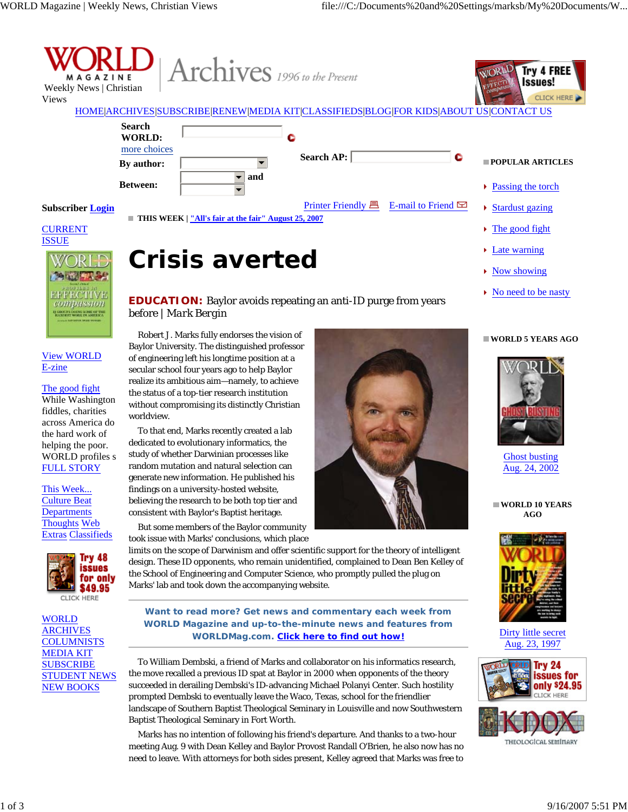

compassion IS GROUPS DOING SOME OF THE HARDEST WORK IN ANDERSA

## View WORLD E-zine

The good fight While Washington fiddles, charities across America do the hard work of helping the poor. WORLD profiles s FULL STORY

This Week... Culture Beat **Departments** Thoughts Web Extras Classifieds



**WORLD** ARCHIVES **COLUMNISTS** MEDIA KIT **SUBSCRIBE** STUDENT NEWS NEW BOOKS

**EDUCATION:** Baylor avoids repeating an anti-ID purge from years before | *Mark Bergin*

Robert J. Marks fully endorses the vision of Baylor University. The distinguished professor of engineering left his longtime position at a secular school four years ago to help Baylor realize its ambitious aim—namely, to achieve the status of a top-tier research institution without compromising its distinctly Christian worldview.

To that end, Marks recently created a lab dedicated to evolutionary informatics, the study of whether Darwinian processes like random mutation and natural selection can generate new information. He published his findings on a university-hosted website, believing the research to be both top tier and consistent with Baylor's Baptist heritage.

But some members of the Baylor community took issue with Marks' conclusions, which place



Ghost busting Aug. 24, 2002

## **WORLD 10 YEARS AGO**

No need to be nasty

 **WORLD 5 YEARS AGO**



Dirty little secret Aug. 23, 1997





limits on the scope of Darwinism and offer scientific support for the theory of intelligent design. These ID opponents, who remain unidentified, complained to Dean Ben Kelley of the School of Engineering and Computer Science, who promptly pulled the plug on Marks' lab and took down the accompanying website.

**Want to read more? Get news and commentary each week from WORLD Magazine and up-to-the-minute news and features from WORLDMag.com. Click here to find out how!**

To William Dembski, a friend of Marks and collaborator on his informatics research, the move recalled a previous ID spat at Baylor in 2000 when opponents of the theory succeeded in derailing Dembski's ID-advancing Michael Polanyi Center. Such hostility prompted Dembski to eventually leave the Waco, Texas, school for the friendlier landscape of Southern Baptist Theological Seminary in Louisville and now Southwestern Baptist Theological Seminary in Fort Worth.

Marks has no intention of following his friend's departure. And thanks to a two-hour meeting Aug. 9 with Dean Kelley and Baylor Provost Randall O'Brien, he also now has no need to leave. With attorneys for both sides present, Kelley agreed that Marks was free to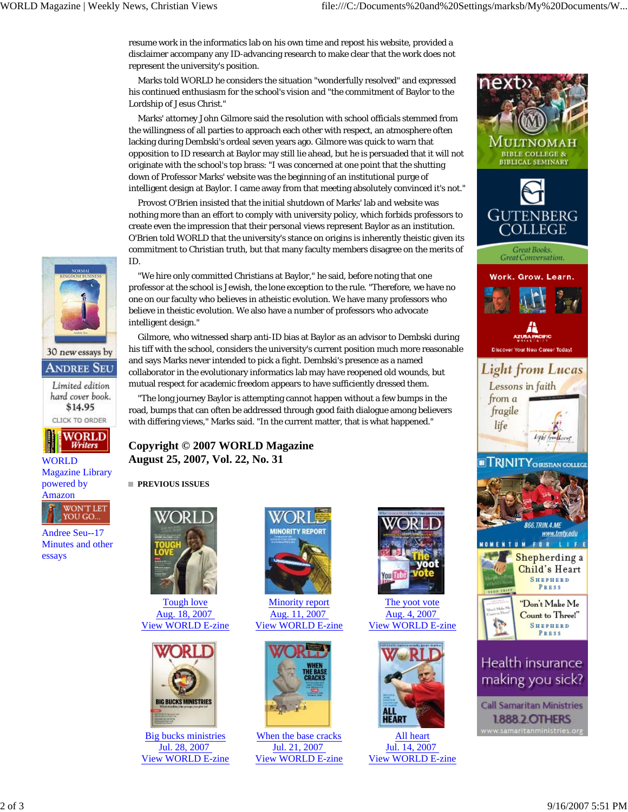resume work in the informatics lab on his own time and repost his website, provided a disclaimer accompany any ID-advancing research to make clear that the work does not represent the university's position.

Marks told WORLD he considers the situation "wonderfully resolved" and expressed his continued enthusiasm for the school's vision and "the commitment of Baylor to the Lordship of Jesus Christ."

Marks' attorney John Gilmore said the resolution with school officials stemmed from the willingness of all parties to approach each other with respect, an atmosphere often lacking during Dembski's ordeal seven years ago. Gilmore was quick to warn that opposition to ID research at Baylor may still lie ahead, but he is persuaded that it will not originate with the school's top brass: "I was concerned at one point that the shutting down of Professor Marks' website was the beginning of an institutional purge of intelligent design at Baylor. I came away from that meeting absolutely convinced it's not."

Provost O'Brien insisted that the initial shutdown of Marks' lab and website was nothing more than an effort to comply with university policy, which forbids professors to create even the impression that their personal views represent Baylor as an institution. O'Brien told WORLD that the university's stance on origins is inherently theistic given its commitment to Christian truth, but that many faculty members disagree on the merits of ID.

"We hire only committed Christians at Baylor," he said, before noting that one professor at the school is Jewish, the lone exception to the rule. "Therefore, we have no one on our faculty who believes in atheistic evolution. We have many professors who believe in theistic evolution. We also have a number of professors who advocate intelligent design."

Gilmore, who witnessed sharp anti-ID bias at Baylor as an advisor to Dembski during his tiff with the school, considers the university's current position much more reasonable and says Marks never intended to pick a fight. Dembski's presence as a named collaborator in the evolutionary informatics lab may have reopened old wounds, but mutual respect for academic freedom appears to have sufficiently dressed them.

"The long journey Baylor is attempting cannot happen without a few bumps in the road, bumps that can often be addressed through good faith dialogue among believers with differing views," Marks said. "In the current matter, that is what happened."

## **Copyright © 2007 WORLD Magazine August 25, 2007, Vol. 22, No. 31**

 **PREVIOUS ISSUES**



Tough love Aug. 18, 2007 View WORLD E-zine



Big bucks ministries Jul. 28, 2007 View WORLD E-zine



Minority report Aug. 11, 2007 View WORLD E-zine



When the base cracks Jul. 21, 2007 View WORLD E-zine



The yoot vote Aug. 4, 2007 View WORLD E-zine



All heart Jul. 14, 2007 View WORLD E-zine







**WORLD** 

Writers **WORLD** Magazine Library powered by Amazon



Andree Seu--17 Minutes and other essays